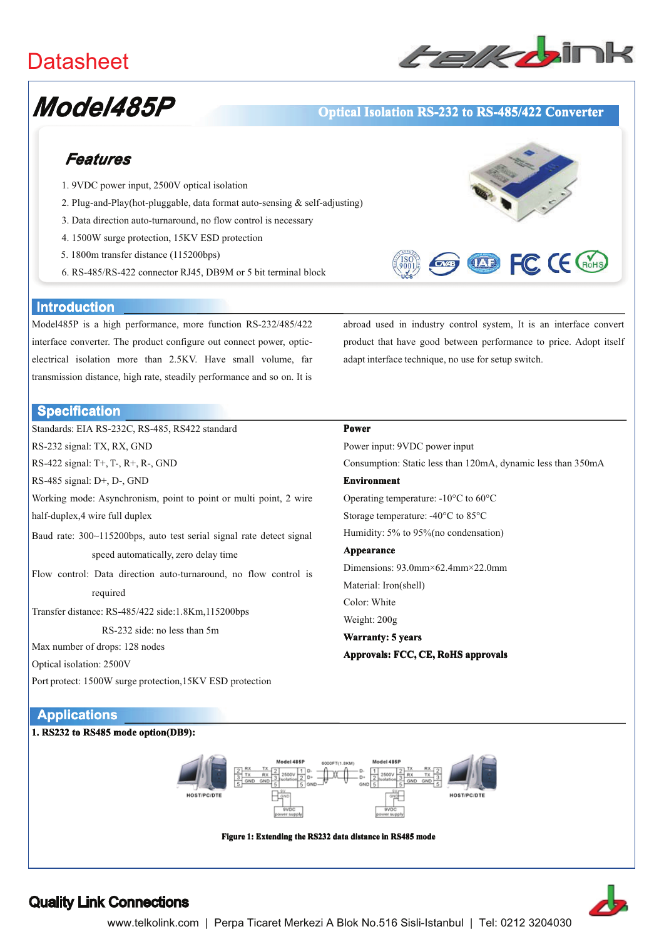# **Datasheet**



# Model485P

### **Optical Isolation RS-232 to RS-485/422 Converter**

## **Features**

- 1. 9VDC power input, 2500V optical isolation
- 2. Plug-and-Play(hot-pluggable, data format auto-sensing  $&$  self-adjusting)
- 3. Data direction auto-turnaround, no flow control is necessary
- 4. 1500W surge protection, 15KV ESD protection
- 5. 1800m transfer distance (115200bps)
- 6. RS-485/RS-422 connector RJ45, DB9M or 5 bit terminal block



#### **Introduction**

Model485P is a high performance, more function RS-232/485/422 interface converter. The product configure out connect power, opticelectrical isolation more than 2.5KV. Have small volume, far transmission distance, high rate, steadily performance and so on. It is

abroad used in industry control system, It is an interface convert product that have good between performance to price. Adopt itself adapt interface technique, no use for setup switch.

#### **Specification**

Standards: EIA RS-232C, RS-485, RS422 standard Power RS-232 signal: TX, RX, GND RS-422 signal: T+, T-, R+, R-, GND RS-485 signal: D+, D-, GND **Environment** Working mode: Asynchronism, point to point or multi point, 2 wire half-duplex, 4 wire full duplex Baud rate: 300~115200bps, auto test serial signal rate detect signal Appearance speed automatically, zero delay time Flow control: Data direction auto-turnaround, no flow control is Material: Iron(shell) required Color: White Transfer distance: RS-485/422 side:1.8Km,115200bps Weight: 200g RS-232 side: no less than 5m Warranty: 5 years Max number of drops: 128 nodes Approvals: FCC, CE, RoHS approvals Optical isolation: 2500V

Power input: 9VDC power input Consumption: Static less than 120mA, dynamic less than 350mA Operating temperature: -10°C to 60°C Storage temperature: -40°C to 85°C Humidity: 5% to 95% (no condensation) Dimensions: 93.0mm×62.4mm×22.0mm



## **Quality Link Connections**